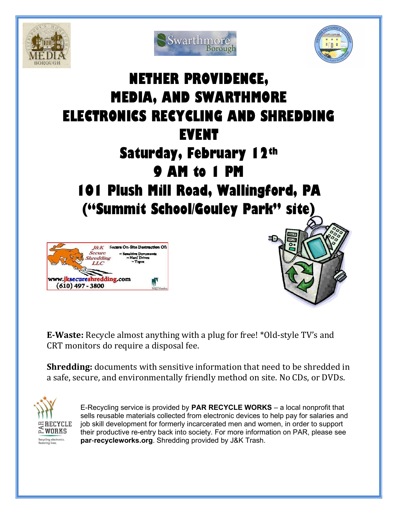





## NETHER PROVIDENCE, MEDIA, AND SWARTHMORE ELECTRONICS RECYCLING AND SHREDDING EVENT Saturday, February 12th 9 AM to 1 PM 101 Plush Mill Road, Wallingford, PA ("Summit School/Gouley Park" site)



E-Waste: Recycle almost anything with a plug for free! \*Old-style TV's and CRT monitors do require a disposal fee.

**Shredding:** documents with sensitive information that need to be shredded in a safe, secure, and environmentally friendly method on site. No CDs, or DVDs.



E-Recycling service is provided by **PAR RECYCLE WORKS** – a local nonprofit that sells reusable materials collected from electronic devices to help pay for salaries and job skill development for formerly incarcerated men and women, in order to support their productive re-entry back into society. For more information on PAR, please see par-recycleworks.org. Shredding provided by J&K Trash.